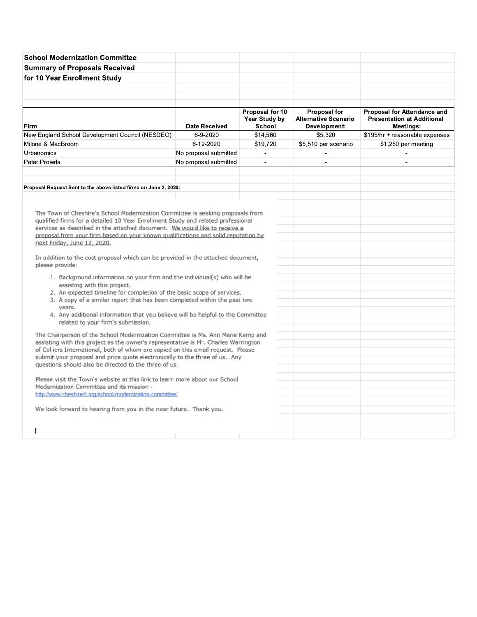| <b>School Modernization Committee</b>                                                                                                                               |                       |                                            |                                                                    |                                                                                      |
|---------------------------------------------------------------------------------------------------------------------------------------------------------------------|-----------------------|--------------------------------------------|--------------------------------------------------------------------|--------------------------------------------------------------------------------------|
| <b>Summary of Proposals Received</b>                                                                                                                                |                       |                                            |                                                                    |                                                                                      |
| for 10 Year Enrollment Study                                                                                                                                        |                       |                                            |                                                                    |                                                                                      |
|                                                                                                                                                                     |                       |                                            |                                                                    |                                                                                      |
|                                                                                                                                                                     |                       |                                            |                                                                    |                                                                                      |
|                                                                                                                                                                     |                       |                                            |                                                                    |                                                                                      |
| Firm                                                                                                                                                                | <b>Date Received</b>  | Proposal for 10<br>Year Study by<br>School | <b>Proposal for</b><br><b>Alternative Scenario</b><br>Development: | <b>Proposal for Attendance and</b><br><b>Presentation at Additional</b><br>Meetings: |
| New England School Development Council (NESDEC)                                                                                                                     | 6-9-2020              | \$14,560                                   | \$5,320                                                            | \$195/hr + reasonable expenses                                                       |
| Milone & MacBroom                                                                                                                                                   | 6-12-2020             | \$19,720                                   | \$5,510 per scenario                                               | \$1,250 per meeting                                                                  |
| Urbanomics                                                                                                                                                          | No proposal submitted | $\overline{a}$                             | ÷,                                                                 |                                                                                      |
| Peter Prowda                                                                                                                                                        | No proposal submitted | $\blacksquare$                             | $\blacksquare$                                                     | $\blacksquare$                                                                       |
|                                                                                                                                                                     |                       |                                            |                                                                    |                                                                                      |
|                                                                                                                                                                     |                       |                                            |                                                                    |                                                                                      |
| Proposal Request Sent to the above listed firms on June 2, 2020:                                                                                                    |                       |                                            |                                                                    |                                                                                      |
|                                                                                                                                                                     |                       |                                            |                                                                    |                                                                                      |
|                                                                                                                                                                     |                       |                                            |                                                                    |                                                                                      |
| The Town of Cheshire's School Modernization Committee is seeking proposals from<br>qualified firms for a detailed 10 Year Enrollment Study and related professional |                       |                                            |                                                                    |                                                                                      |
| services as described in the attached document. We would like to receive a                                                                                          |                       |                                            |                                                                    |                                                                                      |
| proposal from your firm based on your known qualifications and solid reputation by                                                                                  |                       |                                            |                                                                    |                                                                                      |
| next Friday, June 12, 2020.                                                                                                                                         |                       |                                            |                                                                    |                                                                                      |
|                                                                                                                                                                     |                       |                                            |                                                                    |                                                                                      |
| In addition to the cost proposal which can be provided in the attached document,<br>please provide:                                                                 |                       |                                            |                                                                    |                                                                                      |
|                                                                                                                                                                     |                       |                                            |                                                                    |                                                                                      |
| 1. Background information on your firm and the individual(s) who will be<br>assisting with this project.                                                            |                       |                                            |                                                                    |                                                                                      |
| 2. An expected timeline for completion of the basic scope of services.                                                                                              |                       |                                            |                                                                    |                                                                                      |
| 3. A copy of a similar report that has been completed within the past two                                                                                           |                       |                                            |                                                                    |                                                                                      |
| vears.                                                                                                                                                              |                       |                                            |                                                                    |                                                                                      |
| 4. Any additional information that you believe will be helpful to the Committee                                                                                     |                       |                                            |                                                                    |                                                                                      |
| related to your firm's submission.                                                                                                                                  |                       |                                            |                                                                    |                                                                                      |
| The Chairperson of the School Modernization Committee is Ms. Ann Marie Kemp and                                                                                     |                       |                                            |                                                                    |                                                                                      |
| assisting with this project as the owner's representative is Mr. Charles Warrington                                                                                 |                       |                                            |                                                                    |                                                                                      |
| of Colliers International, both of whom are copied on this email request. Please<br>submit your proposal and price quote electronically to the three of us. Any     |                       |                                            |                                                                    |                                                                                      |
| questions should also be directed to the three of us.                                                                                                               |                       |                                            |                                                                    |                                                                                      |
|                                                                                                                                                                     |                       |                                            |                                                                    |                                                                                      |
| Please visit the Town's website at this link to learn more about our School                                                                                         |                       |                                            |                                                                    |                                                                                      |
| Modernization Committee and its mission -                                                                                                                           |                       |                                            |                                                                    |                                                                                      |
| http://www.cheshirect.org/school-modernization-committee/                                                                                                           |                       |                                            |                                                                    |                                                                                      |
| We look forward to hearing from you in the near future. Thank you.                                                                                                  |                       |                                            |                                                                    |                                                                                      |
|                                                                                                                                                                     |                       |                                            |                                                                    |                                                                                      |
|                                                                                                                                                                     |                       |                                            |                                                                    |                                                                                      |
|                                                                                                                                                                     |                       |                                            |                                                                    |                                                                                      |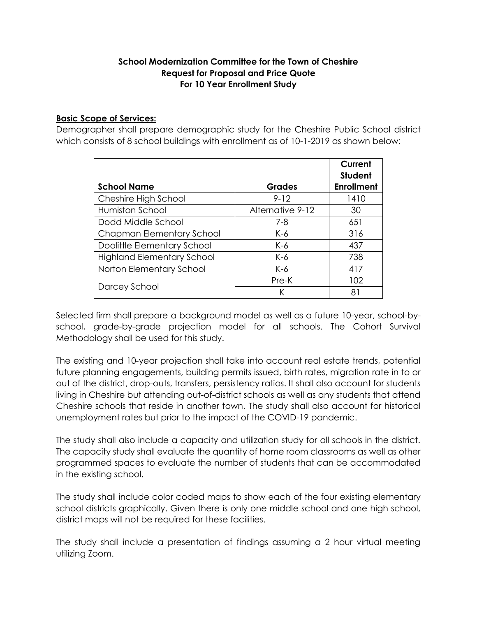## **School Modernization Committee for the Town of Cheshire Request for Proposal and Price Quote For 10 Year Enrollment Study**

## **Basic Scope of Services:**

Demographer shall prepare demographic study for the Cheshire Public School district which consists of 8 school buildings with enrollment as of 10-1-2019 as shown below:

|                                   |                  | Current<br><b>Student</b> |
|-----------------------------------|------------------|---------------------------|
| <b>School Name</b>                | <b>Grades</b>    | <b>Enrollment</b>         |
| Cheshire High School              | $9 - 12$         | 1410                      |
| Humiston School                   | Alternative 9-12 | 30                        |
| Dodd Middle School                | $7 - 8$          | 651                       |
| Chapman Elementary School         | $K-6$            | 316                       |
| Doolittle Elementary School       | K-6              | 437                       |
| <b>Highland Elementary School</b> | $K-6$            | 738                       |
| Norton Elementary School          | $K-6$            | 417                       |
|                                   | Pre-K            | 102                       |
| Darcey School                     | K                | 81                        |

Selected firm shall prepare a background model as well as a future 10-year, school-byschool, grade-by-grade projection model for all schools. The Cohort Survival Methodology shall be used for this study.

The existing and 10-year projection shall take into account real estate trends, potential future planning engagements, building permits issued, birth rates, migration rate in to or out of the district, drop-outs, transfers, persistency ratios. It shall also account for students living in Cheshire but attending out-of-district schools as well as any students that attend Cheshire schools that reside in another town. The study shall also account for historical unemployment rates but prior to the impact of the COVID-19 pandemic.

The study shall also include a capacity and utilization study for all schools in the district. The capacity study shall evaluate the quantity of home room classrooms as well as other programmed spaces to evaluate the number of students that can be accommodated in the existing school.

The study shall include color coded maps to show each of the four existing elementary school districts graphically. Given there is only one middle school and one high school, district maps will not be required for these facilities.

The study shall include a presentation of findings assuming a 2 hour virtual meeting utilizing Zoom.